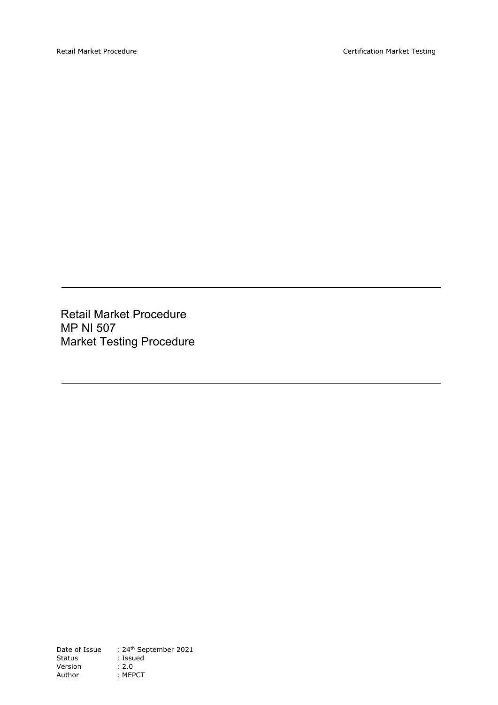Retail Market Procedure MP NI 507 Market Testing Procedure

Date of Issue : 24<sup>th</sup> September 2021 Status : Issued Version : 2.0 Author : MEPCT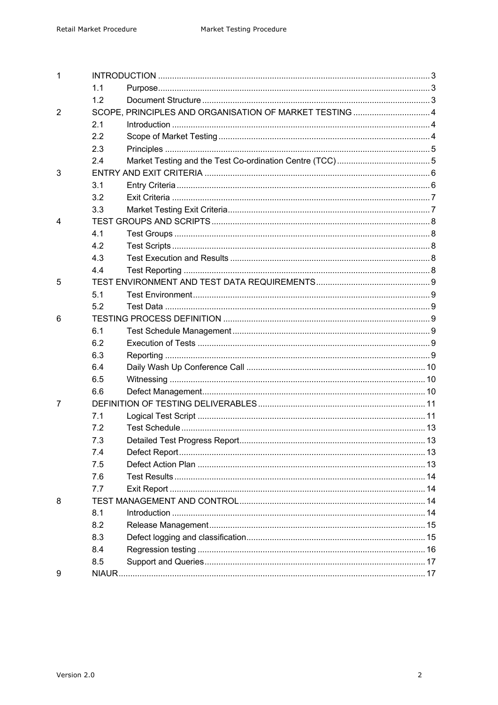| 1                       |     |                                                         |  |  |
|-------------------------|-----|---------------------------------------------------------|--|--|
|                         | 1.1 |                                                         |  |  |
|                         | 1.2 |                                                         |  |  |
| $\overline{2}$          |     | SCOPE, PRINCIPLES AND ORGANISATION OF MARKET TESTING  4 |  |  |
|                         | 2.1 |                                                         |  |  |
|                         | 2.2 |                                                         |  |  |
|                         | 2.3 |                                                         |  |  |
|                         | 2.4 |                                                         |  |  |
| 3                       |     |                                                         |  |  |
|                         | 3.1 |                                                         |  |  |
|                         | 3.2 |                                                         |  |  |
|                         | 3.3 |                                                         |  |  |
| $\overline{\mathbf{4}}$ |     |                                                         |  |  |
|                         | 4.1 |                                                         |  |  |
|                         | 4.2 |                                                         |  |  |
|                         | 4.3 |                                                         |  |  |
|                         | 4.4 |                                                         |  |  |
| 5                       |     |                                                         |  |  |
|                         | 5.1 |                                                         |  |  |
|                         | 5.2 |                                                         |  |  |
| 6                       |     |                                                         |  |  |
|                         | 6.1 |                                                         |  |  |
|                         | 6.2 |                                                         |  |  |
|                         | 6.3 |                                                         |  |  |
|                         | 6.4 |                                                         |  |  |
|                         | 6.5 |                                                         |  |  |
|                         | 6.6 |                                                         |  |  |
| 7                       |     |                                                         |  |  |
|                         | 7.1 |                                                         |  |  |
|                         | 7.2 |                                                         |  |  |
|                         | 7.3 |                                                         |  |  |
|                         | 7.4 |                                                         |  |  |
|                         | 7.5 |                                                         |  |  |
|                         | 7.6 |                                                         |  |  |
|                         | 7.7 |                                                         |  |  |
| 8                       |     |                                                         |  |  |
|                         | 8.1 |                                                         |  |  |
|                         | 8.2 |                                                         |  |  |
|                         | 8.3 |                                                         |  |  |
|                         | 8.4 |                                                         |  |  |
|                         | 8.5 |                                                         |  |  |
| 9                       |     |                                                         |  |  |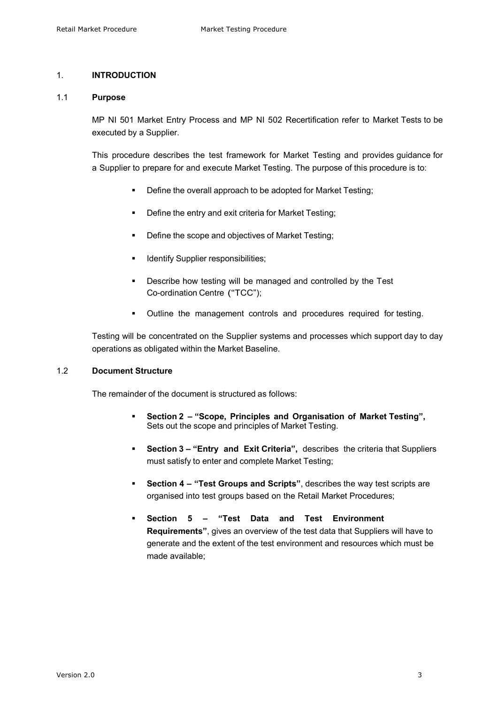# 1. **INTRODUCTION**

### 1.1 **Purpose**

MP NI 501 Market Entry Process and MP NI 502 Recertification refer to Market Tests to be executed by a Supplier.

This procedure describes the test framework for Market Testing and provides guidance for a Supplier to prepare for and execute Market Testing. The purpose of this procedure is to:

- Define the overall approach to be adopted for Market Testing;
- Define the entry and exit criteria for Market Testing;
- Define the scope and objectives of Market Testing;
- § Identify Supplier responsibilities;
- § Describe how testing will be managed and controlled by the Test Co-ordination Centre ("TCC");
- § Outline the management controls and procedures required for testing.

Testing will be concentrated on the Supplier systems and processes which support day to day operations as obligated within the Market Baseline.

# 1.2 **Document Structure**

The remainder of the document is structured as follows:

- § **Section 2 – "Scope, Principles and Organisation of Market Testing",** Sets out the scope and principles of Market Testing.
- § **Section 3 – "Entry and Exit Criteria",** describes the criteria that Suppliers must satisfy to enter and complete Market Testing;
- § **Section 4 – "Test Groups and Scripts"**, describes the way test scripts are organised into test groups based on the Retail Market Procedures;
- § **Section 5 "Test Data and Test Environment Requirements"**, gives an overview of the test data that Suppliers will have to generate and the extent of the test environment and resources which must be made available;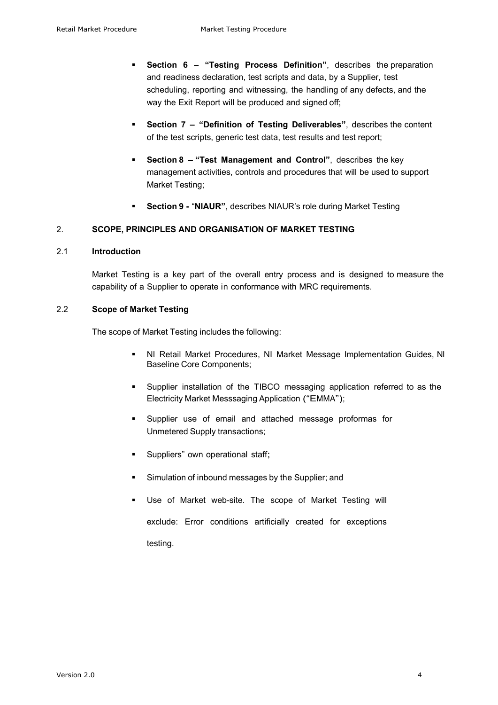- § **Section 6 – "Testing Process Definition"**, describes the preparation and readiness declaration, test scripts and data, by a Supplier, test scheduling, reporting and witnessing, the handling of any defects, and the way the Exit Report will be produced and signed off;
- § **Section 7 – "Definition of Testing Deliverables"**, describes the content of the test scripts, generic test data, test results and test report;
- § **Section 8 – "Test Management and Control"**, describes the key management activities, controls and procedures that will be used to support Market Testing;
- § **Section 9 -** "**NIAUR"**, describes NIAUR's role during Market Testing

## 2. **SCOPE, PRINCIPLES AND ORGANISATION OF MARKET TESTING**

### 2.1 **Introduction**

Market Testing is a key part of the overall entry process and is designed to measure the capability of a Supplier to operate in conformance with MRC requirements.

# 2.2 **Scope of Market Testing**

The scope of Market Testing includes the following:

- § NI Retail Market Procedures, NI Market Message Implementation Guides, NI Baseline Core Components;
- § Supplier installation of the TIBCO messaging application referred to as the Electricity Market Messsaging Application ("EMMA");
- § Supplier use of email and attached message proformas for Unmetered Supply transactions;
- § Suppliers" own operational staff;
- § Simulation of inbound messages by the Supplier; and
- Use of Market web-site. The scope of Market Testing will exclude: Error conditions artificially created for exceptions testing.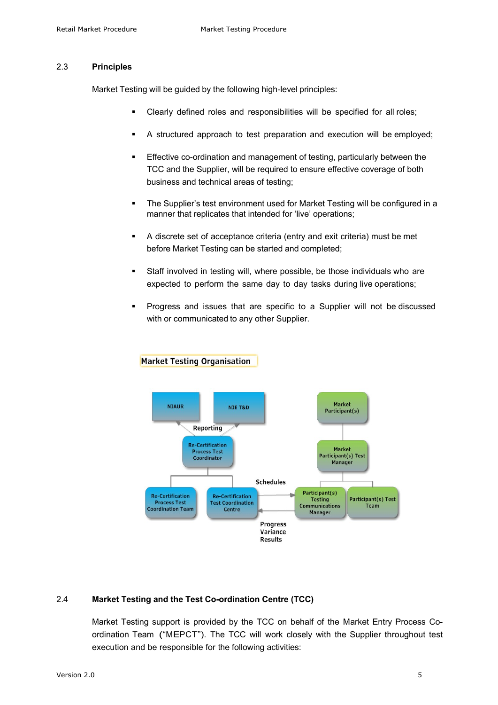### 2.3 **Principles**

Market Testing will be guided by the following high-level principles:

- § Clearly defined roles and responsibilities will be specified for all roles;
- A structured approach to test preparation and execution will be employed;
- **Effective co-ordination and management of testing, particularly between the** TCC and the Supplier, will be required to ensure effective coverage of both business and technical areas of testing;
- The Supplier's test environment used for Market Testing will be configured in a manner that replicates that intended for 'live' operations;
- § A discrete set of acceptance criteria (entry and exit criteria) must be met before Market Testing can be started and completed;
- Staff involved in testing will, where possible, be those individuals who are expected to perform the same day to day tasks during live operations;
- Progress and issues that are specific to a Supplier will not be discussed with or communicated to any other Supplier.



# **Market Testing Organisation**

# 2.4 **Market Testing and the Test Co-ordination Centre (TCC)**

Market Testing support is provided by the TCC on behalf of the Market Entry Process Coordination Team ("MEPCT"). The TCC will work closely with the Supplier throughout test execution and be responsible for the following activities: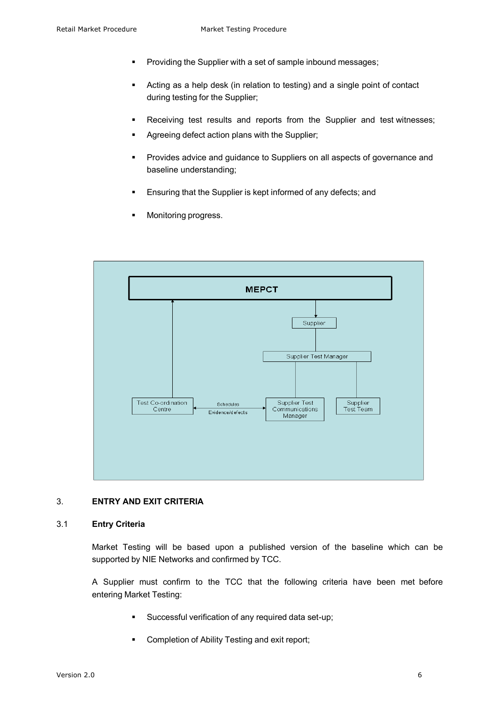- § Providing the Supplier with a set of sample inbound messages;
- § Acting as a help desk (in relation to testing) and a single point of contact during testing for the Supplier;
- Receiving test results and reports from the Supplier and test witnesses;
- Agreeing defect action plans with the Supplier;
- § Provides advice and guidance to Suppliers on all aspects of governance and baseline understanding;
- Ensuring that the Supplier is kept informed of any defects; and
- Monitoring progress.



# 3. **ENTRY AND EXIT CRITERIA**

#### 3.1 **Entry Criteria**

Market Testing will be based upon a published version of the baseline which can be supported by NIE Networks and confirmed by TCC.

A Supplier must confirm to the TCC that the following criteria have been met before entering Market Testing:

- § Successful verification of any required data set-up;
- § Completion of Ability Testing and exit report;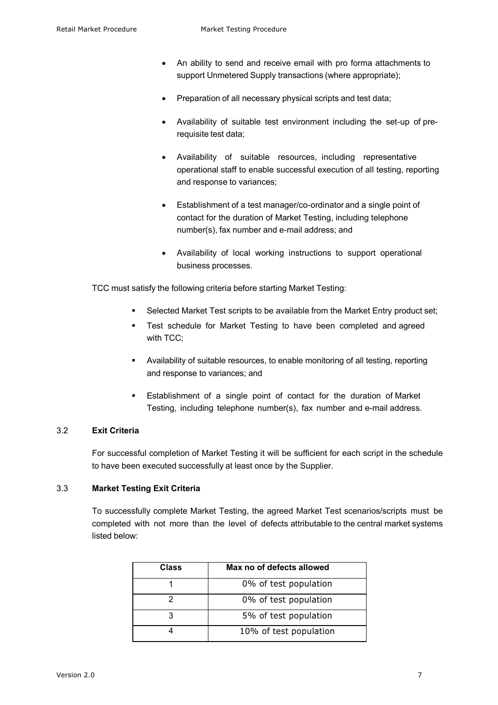- An ability to send and receive email with pro forma attachments to support Unmetered Supply transactions (where appropriate);
- Preparation of all necessary physical scripts and test data;
- Availability of suitable test environment including the set-up of prerequisite test data;
- Availability of suitable resources, including representative operational staff to enable successful execution of all testing, reporting and response to variances;
- Establishment of a test manager/co-ordinator and a single point of contact for the duration of Market Testing, including telephone number(s), fax number and e-mail address; and
- Availability of local working instructions to support operational business processes.

TCC must satisfy the following criteria before starting Market Testing:

- Selected Market Test scripts to be available from the Market Entry product set;
- § Test schedule for Market Testing to have been completed and agreed with TCC;
- § Availability of suitable resources, to enable monitoring of all testing, reporting and response to variances; and
- Establishment of a single point of contact for the duration of Market Testing, including telephone number(s), fax number and e-mail address.

# 3.2 **Exit Criteria**

For successful completion of Market Testing it will be sufficient for each script in the schedule to have been executed successfully at least once by the Supplier.

# 3.3 **Market Testing Exit Criteria**

To successfully complete Market Testing, the agreed Market Test scenarios/scripts must be completed with not more than the level of defects attributable to the central market systems listed below:

| Class | Max no of defects allowed |
|-------|---------------------------|
|       | 0% of test population     |
|       | 0% of test population     |
| 3     | 5% of test population     |
|       | 10% of test population    |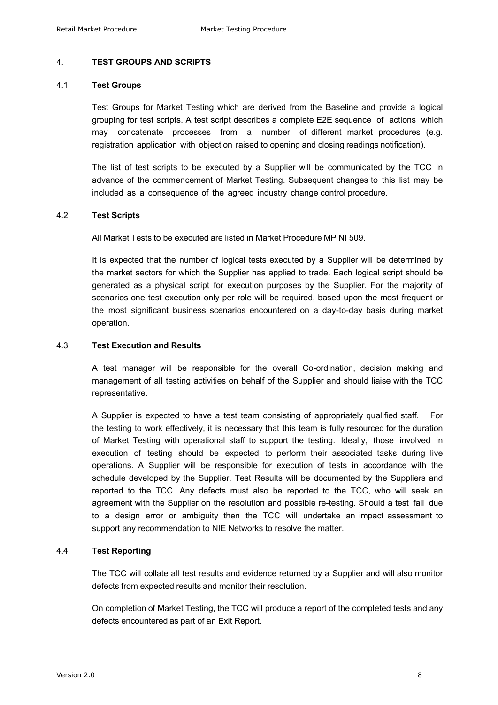### 4. **TEST GROUPS AND SCRIPTS**

#### 4.1 **Test Groups**

Test Groups for Market Testing which are derived from the Baseline and provide a logical grouping for test scripts. A test script describes a complete E2E sequence of actions which may concatenate processes from a number of different market procedures (e.g. registration application with objection raised to opening and closing readings notification).

The list of test scripts to be executed by a Supplier will be communicated by the TCC in advance of the commencement of Market Testing. Subsequent changes to this list may be included as a consequence of the agreed industry change control procedure.

### 4.2 **Test Scripts**

All Market Tests to be executed are listed in Market Procedure MP NI 509.

It is expected that the number of logical tests executed by a Supplier will be determined by the market sectors for which the Supplier has applied to trade. Each logical script should be generated as a physical script for execution purposes by the Supplier. For the majority of scenarios one test execution only per role will be required, based upon the most frequent or the most significant business scenarios encountered on a day-to-day basis during market operation.

## 4.3 **Test Execution and Results**

A test manager will be responsible for the overall Co-ordination, decision making and management of all testing activities on behalf of the Supplier and should liaise with the TCC representative.

A Supplier is expected to have a test team consisting of appropriately qualified staff. For the testing to work effectively, it is necessary that this team is fully resourced for the duration of Market Testing with operational staff to support the testing. Ideally, those involved in execution of testing should be expected to perform their associated tasks during live operations. A Supplier will be responsible for execution of tests in accordance with the schedule developed by the Supplier. Test Results will be documented by the Suppliers and reported to the TCC. Any defects must also be reported to the TCC, who will seek an agreement with the Supplier on the resolution and possible re-testing. Should a test fail due to a design error or ambiguity then the TCC will undertake an impact assessment to support any recommendation to NIE Networks to resolve the matter.

# 4.4 **Test Reporting**

The TCC will collate all test results and evidence returned by a Supplier and will also monitor defects from expected results and monitor their resolution.

On completion of Market Testing, the TCC will produce a report of the completed tests and any defects encountered as part of an Exit Report.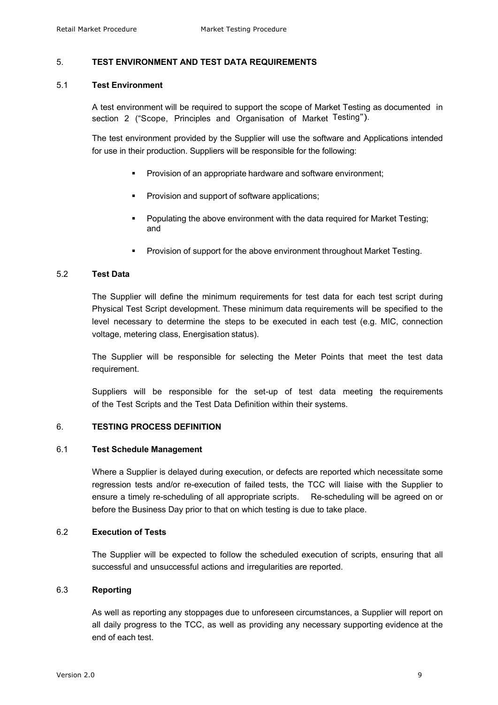### 5. **TEST ENVIRONMENT AND TEST DATA REQUIREMENTS**

#### 5.1 **Test Environment**

A test environment will be required to support the scope of Market Testing as documented in section 2 ("Scope, Principles and Organisation of Market Testing").

The test environment provided by the Supplier will use the software and Applications intended for use in their production. Suppliers will be responsible for the following:

- § Provision of an appropriate hardware and software environment;
- § Provision and support of software applications;
- § Populating the above environment with the data required for Market Testing; and
- § Provision of support for the above environment throughout Market Testing.

## 5.2 **Test Data**

The Supplier will define the minimum requirements for test data for each test script during Physical Test Script development. These minimum data requirements will be specified to the level necessary to determine the steps to be executed in each test (e.g. MIC, connection voltage, metering class, Energisation status).

The Supplier will be responsible for selecting the Meter Points that meet the test data requirement.

Suppliers will be responsible for the set-up of test data meeting the requirements of the Test Scripts and the Test Data Definition within their systems.

## 6. **TESTING PROCESS DEFINITION**

#### 6.1 **Test Schedule Management**

Where a Supplier is delayed during execution, or defects are reported which necessitate some regression tests and/or re-execution of failed tests, the TCC will liaise with the Supplier to ensure a timely re-scheduling of all appropriate scripts. Re-scheduling will be agreed on or before the Business Day prior to that on which testing is due to take place.

# 6.2 **Execution of Tests**

The Supplier will be expected to follow the scheduled execution of scripts, ensuring that all successful and unsuccessful actions and irregularities are reported.

### 6.3 **Reporting**

As well as reporting any stoppages due to unforeseen circumstances, a Supplier will report on all daily progress to the TCC, as well as providing any necessary supporting evidence at the end of each test.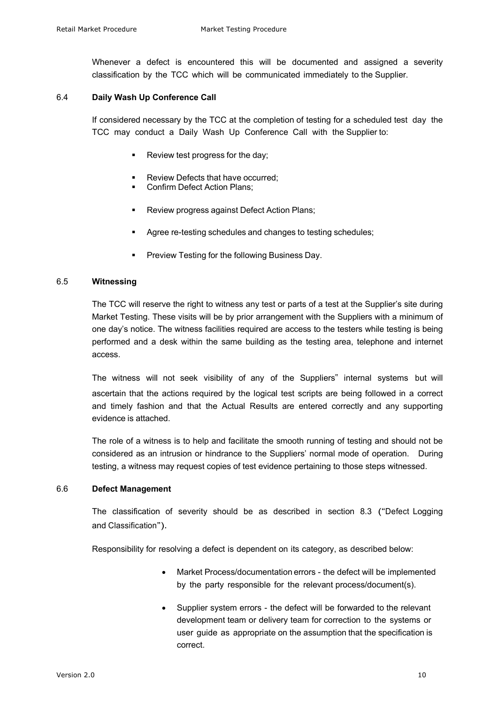Whenever a defect is encountered this will be documented and assigned a severity classification by the TCC which will be communicated immediately to the Supplier.

### 6.4 **Daily Wash Up Conference Call**

If considered necessary by the TCC at the completion of testing for a scheduled test day the TCC may conduct a Daily Wash Up Conference Call with the Supplier to:

- § Review test progress for the day;
- § Review Defects that have occurred;
- § Confirm Defect Action Plans;
- § Review progress against Defect Action Plans;
- § Agree re-testing schedules and changes to testing schedules;
- § Preview Testing for the following Business Day.

## 6.5 **Witnessing**

The TCC will reserve the right to witness any test or parts of a test at the Supplier's site during Market Testing. These visits will be by prior arrangement with the Suppliers with a minimum of one day's notice. The witness facilities required are access to the testers while testing is being performed and a desk within the same building as the testing area, telephone and internet access.

The witness will not seek visibility of any of the Suppliers" internal systems but will ascertain that the actions required by the logical test scripts are being followed in a correct and timely fashion and that the Actual Results are entered correctly and any supporting evidence is attached.

The role of a witness is to help and facilitate the smooth running of testing and should not be considered as an intrusion or hindrance to the Suppliers' normal mode of operation. During testing, a witness may request copies of test evidence pertaining to those steps witnessed.

#### 6.6 **Defect Management**

The classification of severity should be as described in section 8.3 ("Defect Logging and Classification").

Responsibility for resolving a defect is dependent on its category, as described below:

- Market Process/documentation errors the defect will be implemented by the party responsible for the relevant process/document(s).
- Supplier system errors the defect will be forwarded to the relevant development team or delivery team for correction to the systems or user guide as appropriate on the assumption that the specification is correct.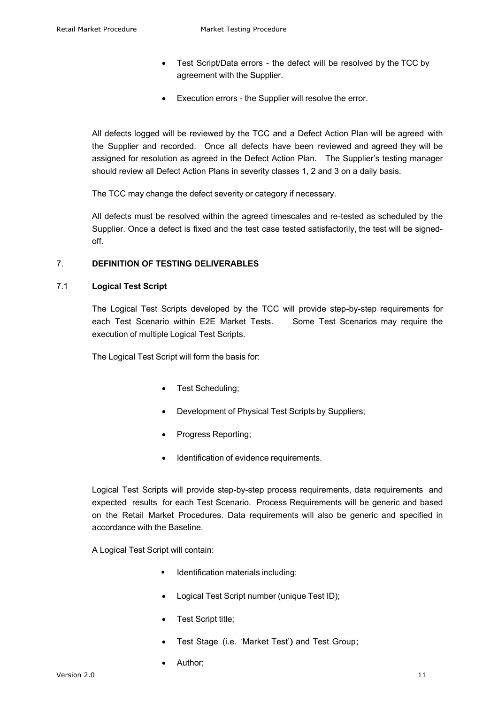- Test Script/Data errors the defect will be resolved by the TCC by agreement with the Supplier.
- Execution errors the Supplier will resolve the error.

All defects logged will be reviewed by the TCC and a Defect Action Plan will be agreed with the Supplier and recorded. Once all defects have been reviewed and agreed they will be assigned for resolution as agreed in the Defect Action Plan. The Supplier's testing manager should review all Defect Action Plans in severity classes 1, 2 and 3 on a daily basis.

The TCC may change the defect severity or category if necessary.

All defects must be resolved within the agreed timescales and re-tested as scheduled by the Supplier. Once a defect is fixed and the test case tested satisfactorily, the test will be signedoff.

## 7. **DEFINITION OF TESTING DELIVERABLES**

### 7.1 **Logical Test Script**

The Logical Test Scripts developed by the TCC will provide step-by-step requirements for each Test Scenario within E2E Market Tests. Some Test Scenarios may require the execution of multiple Logical Test Scripts.

The Logical Test Script will form the basis for:

- Test Scheduling;
- Development of Physical Test Scripts by Suppliers;
- Progress Reporting;
- Identification of evidence requirements.

Logical Test Scripts will provide step-by-step process requirements, data requirements and expected results for each Test Scenario. Process Requirements will be generic and based on the Retail Market Procedures. Data requirements will also be generic and specified in accordance with the Baseline.

A Logical Test Script will contain:

- Identification materials including:
- Logical Test Script number (unique Test ID);
- Test Script title;
- Test Stage (i.e. 'Market Test') and Test Group;
- Author;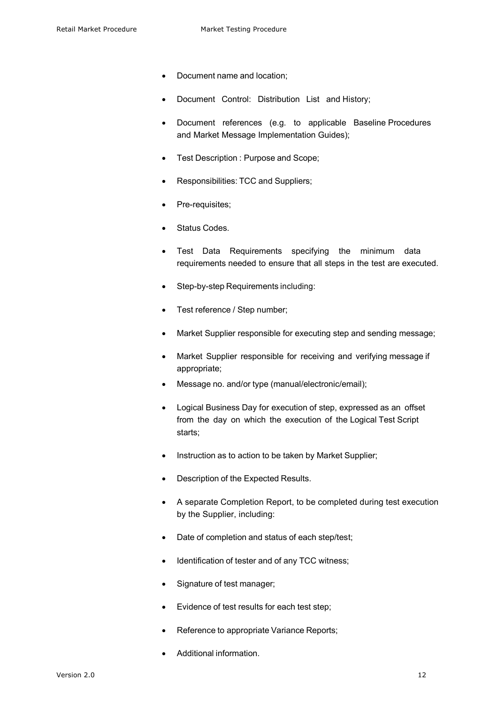- Document name and location;
- Document Control: Distribution List and History;
- Document references (e.g. to applicable Baseline Procedures and Market Message Implementation Guides);
- Test Description : Purpose and Scope;
- Responsibilities: TCC and Suppliers;
- Pre-requisites;
- Status Codes.
- Test Data Requirements specifying the minimum data requirements needed to ensure that all steps in the test are executed.
- Step-by-step Requirements including:
- Test reference / Step number:
- Market Supplier responsible for executing step and sending message;
- Market Supplier responsible for receiving and verifying message if appropriate;
- Message no. and/or type (manual/electronic/email);
- Logical Business Day for execution of step, expressed as an offset from the day on which the execution of the Logical Test Script starts;
- Instruction as to action to be taken by Market Supplier;
- Description of the Expected Results.
- A separate Completion Report, to be completed during test execution by the Supplier, including:
- Date of completion and status of each step/test;
- Identification of tester and of any TCC witness;
- Signature of test manager;
- Evidence of test results for each test step;
- Reference to appropriate Variance Reports;
- Additional information.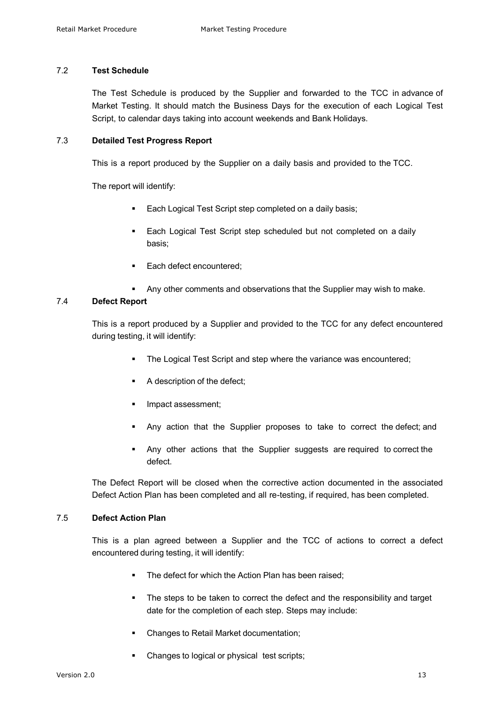# 7.2 **Test Schedule**

The Test Schedule is produced by the Supplier and forwarded to the TCC in advance of Market Testing. It should match the Business Days for the execution of each Logical Test Script, to calendar days taking into account weekends and Bank Holidays.

### 7.3 **Detailed Test Progress Report**

This is a report produced by the Supplier on a daily basis and provided to the TCC.

The report will identify:

- Each Logical Test Script step completed on a daily basis;
- Each Logical Test Script step scheduled but not completed on a daily basis;
- Each defect encountered:
- Any other comments and observations that the Supplier may wish to make.

### 7.4 **Defect Report**

This is a report produced by a Supplier and provided to the TCC for any defect encountered during testing, it will identify:

- **The Logical Test Script and step where the variance was encountered;**
- A description of the defect;
- § Impact assessment;
- § Any action that the Supplier proposes to take to correct the defect; and
- Any other actions that the Supplier suggests are required to correct the defect.

The Defect Report will be closed when the corrective action documented in the associated Defect Action Plan has been completed and all re-testing, if required, has been completed.

# 7.5 **Defect Action Plan**

This is a plan agreed between a Supplier and the TCC of actions to correct a defect encountered during testing, it will identify:

- The defect for which the Action Plan has been raised;
- The steps to be taken to correct the defect and the responsibility and target date for the completion of each step. Steps may include:
- § Changes to Retail Market documentation;
- § Changes to logical or physical test scripts;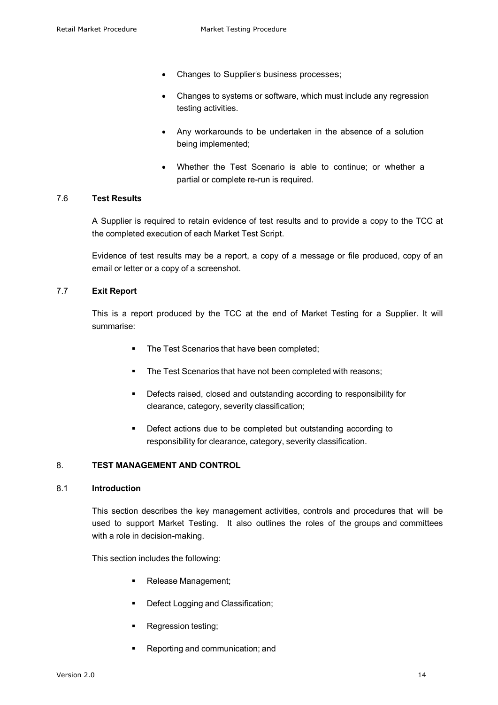- Changes to Supplier's business processes;
- Changes to systems or software, which must include any regression testing activities.
- Any workarounds to be undertaken in the absence of a solution being implemented;
- Whether the Test Scenario is able to continue; or whether a partial or complete re-run is required.

### 7.6 **Test Results**

A Supplier is required to retain evidence of test results and to provide a copy to the TCC at the completed execution of each Market Test Script.

Evidence of test results may be a report, a copy of a message or file produced, copy of an email or letter or a copy of a screenshot.

# 7.7 **Exit Report**

This is a report produced by the TCC at the end of Market Testing for a Supplier. It will summarise:

- **The Test Scenarios that have been completed;**
- The Test Scenarios that have not been completed with reasons;
- Defects raised, closed and outstanding according to responsibility for clearance, category, severity classification;
- Defect actions due to be completed but outstanding according to responsibility for clearance, category, severity classification.

### 8. **TEST MANAGEMENT AND CONTROL**

#### 8.1 **Introduction**

This section describes the key management activities, controls and procedures that will be used to support Market Testing. It also outlines the roles of the groups and committees with a role in decision-making.

This section includes the following:

- § Release Management;
- **•** Defect Logging and Classification;
- § Regression testing;
- § Reporting and communication; and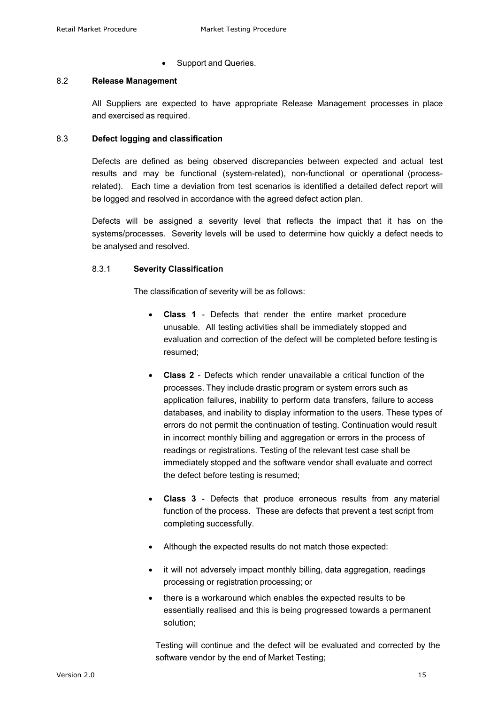Support and Queries.

### 8.2 **Release Management**

All Suppliers are expected to have appropriate Release Management processes in place and exercised as required.

# 8.3 **Defect logging and classification**

Defects are defined as being observed discrepancies between expected and actual test results and may be functional (system-related), non-functional or operational (processrelated). Each time a deviation from test scenarios is identified a detailed defect report will be logged and resolved in accordance with the agreed defect action plan.

Defects will be assigned a severity level that reflects the impact that it has on the systems/processes. Severity levels will be used to determine how quickly a defect needs to be analysed and resolved.

# 8.3.1 **Severity Classification**

The classification of severity will be as follows:

- **Class 1**  Defects that render the entire market procedure unusable. All testing activities shall be immediately stopped and evaluation and correction of the defect will be completed before testing is resumed;
- **Class 2** Defects which render unavailable a critical function of the processes. They include drastic program or system errors such as application failures, inability to perform data transfers, failure to access databases, and inability to display information to the users. These types of errors do not permit the continuation of testing. Continuation would result in incorrect monthly billing and aggregation or errors in the process of readings or registrations. Testing of the relevant test case shall be immediately stopped and the software vendor shall evaluate and correct the defect before testing is resumed;
- **Class 3**  Defects that produce erroneous results from any material function of the process. These are defects that prevent a test script from completing successfully.
- Although the expected results do not match those expected:
- it will not adversely impact monthly billing, data aggregation, readings processing or registration processing; or
- there is a workaround which enables the expected results to be essentially realised and this is being progressed towards a permanent solution;

Testing will continue and the defect will be evaluated and corrected by the software vendor by the end of Market Testing;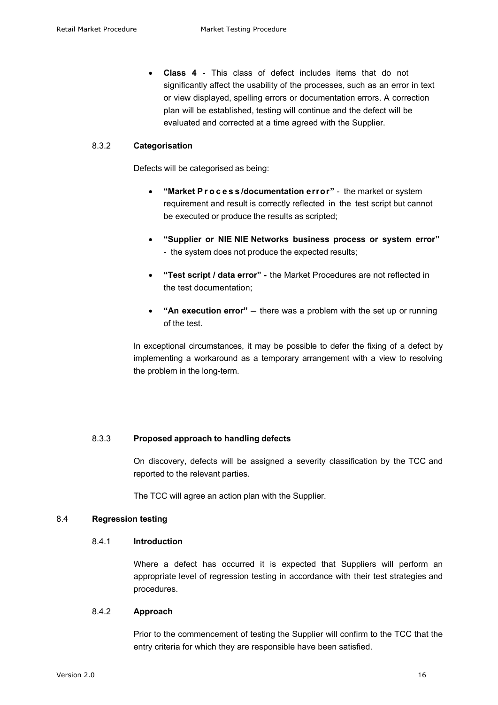• **Class 4** - This class of defect includes items that do not significantly affect the usability of the processes, such as an error in text or view displayed, spelling errors or documentation errors. A correction plan will be established, testing will continue and the defect will be evaluated and corrected at a time agreed with the Supplier.

#### 8.3.2 **Categorisation**

Defects will be categorised as being:

- **"Market Process /documentation error"**  the market or system requirement and result is correctly reflected in the test script but cannot be executed or produce the results as scripted;
- **"Supplier or NIE NIE Networks business process or system error"** - the system does not produce the expected results;
- **"Test script / data error" -** the Market Procedures are not reflected in the test documentation;
- **"An execution error"** there was a problem with the set up or running of the test.

In exceptional circumstances, it may be possible to defer the fixing of a defect by implementing a workaround as a temporary arrangement with a view to resolving the problem in the long-term.

## 8.3.3 **Proposed approach to handling defects**

On discovery, defects will be assigned a severity classification by the TCC and reported to the relevant parties.

The TCC will agree an action plan with the Supplier.

# 8.4 **Regression testing**

## 8.4.1 **Introduction**

Where a defect has occurred it is expected that Suppliers will perform an appropriate level of regression testing in accordance with their test strategies and procedures.

# 8.4.2 **Approach**

Prior to the commencement of testing the Supplier will confirm to the TCC that the entry criteria for which they are responsible have been satisfied.